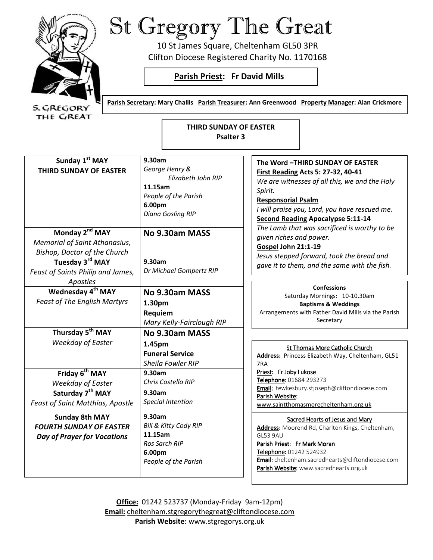

THE C/REAT

St Gregory The Great

10 St James Square, Cheltenham GL50 3PR Clifton Diocese Registered Charity No. 1170168

# **Parish Priest: Fr David Mills**

Parish Secretary: Mary Challis Parish Treasurer: Ann Greenwood Property Manager: Alan Crickmore

**THIRD SUNDAY OF EASTER Psalter 3** 

| Sunday 1st MAY                       | 9.30am                    | The Word - THIRD SUNDAY OF EASTER                                                   |
|--------------------------------------|---------------------------|-------------------------------------------------------------------------------------|
| <b>THIRD SUNDAY OF EASTER</b>        | George Henry &            | <b>First Reading Acts 5: 27-32, 40-41</b>                                           |
|                                      | Elizabeth John RIP        | We are witnesses of all this, we and the Holy                                       |
|                                      | 11.15am                   | Spirit.                                                                             |
|                                      | People of the Parish      | <b>Responsorial Psalm</b>                                                           |
|                                      | 6.00pm                    |                                                                                     |
|                                      | Diana Gosling RIP         | I will praise you, Lord, you have rescued me.                                       |
|                                      |                           | <b>Second Reading Apocalypse 5:11-14</b>                                            |
| Monday 2 <sup>nd</sup> MAY           | No 9.30am MASS            | The Lamb that was sacrificed is worthy to be                                        |
| <b>Memorial of Saint Athanasius,</b> |                           | given riches and power.                                                             |
| Bishop, Doctor of the Church         |                           | Gospel John 21:1-19                                                                 |
| Tuesday 3rd MAY                      | 9.30am                    | Jesus stepped forward, took the bread and                                           |
| Feast of Saints Philip and James,    | Dr Michael Gompertz RIP   | gave it to them, and the same with the fish.                                        |
| Apostles                             |                           |                                                                                     |
| Wednesday 4 <sup>th</sup> MAY        |                           | <b>Confessions</b>                                                                  |
|                                      | No 9.30am MASS            | Saturday Mornings: 10-10.30am                                                       |
| <b>Feast of The English Martyrs</b>  | 1.30pm                    | <b>Baptisms &amp; Weddings</b>                                                      |
|                                      | Requiem                   | Arrangements with Father David Mills via the Parish                                 |
|                                      | Mary Kelly-Fairclough RIP | Secretary                                                                           |
| Thursday 5 <sup>th</sup> MAY         | No 9.30am MASS            |                                                                                     |
| <b>Weekday of Easter</b>             | 1.45pm                    |                                                                                     |
|                                      | <b>Funeral Service</b>    | St Thomas More Catholic Church<br>Address: Princess Elizabeth Way, Cheltenham, GL51 |
|                                      | Sheila Fowler RIP         | 7RA                                                                                 |
| Friday 6 <sup>th</sup> MAY           | 9.30am                    | Priest: Fr Joby Lukose                                                              |
|                                      | Chris Costello RIP        | Telephone: 01684 293273                                                             |
| <b>Weekday of Easter</b>             |                           | Email: tewkesbury.stjoseph@cliftondiocese.com                                       |
| Saturday 7 <sup>th</sup> MAY         | 9.30am                    | Parish Website:                                                                     |
| Feast of Saint Matthias, Apostle     | <b>Special Intention</b>  | www.saintthomasmorecheltenham.org.uk                                                |
| <b>Sunday 8th MAY</b>                | 9.30am                    | Sacred Hearts of Jesus and Mary                                                     |
| <b>FOURTH SUNDAY OF EASTER</b>       | Bill & Kitty Cody RIP     | Address: Moorend Rd, Charlton Kings, Cheltenham,                                    |
| <b>Day of Prayer for Vocations</b>   | 11.15am                   | <b>GL53 9AU</b>                                                                     |
|                                      | <b>Ros Sarch RIP</b>      | Parish Priest: Fr Mark Moran                                                        |
|                                      | 6.00pm                    | Telephone: 01242 524932                                                             |
|                                      | People of the Parish      | Email: cheltenham.sacredhearts@cliftondiocese.com                                   |
|                                      |                           | Parish Website: www.sacredhearts.org.uk                                             |
|                                      |                           |                                                                                     |

**Office:** 01242 523737 (Monday-Friday 9am-12pm) **Email:** cheltenham.stgregorythegreat@cliftondiocese.com **Parish Website:** www.stgregorys.org.uk